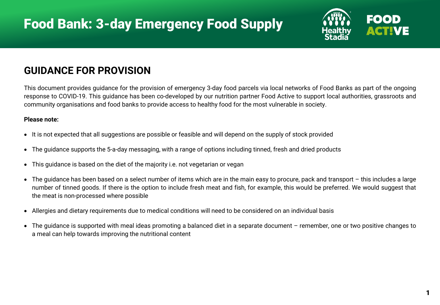

### **GUIDANCE FOR PROVISION**

This document provides guidance for the provision of emergency 3-day food parcels via local networks of Food Banks as part of the ongoing response to COVID-19. This guidance has been co-developed by our nutrition partner Food Active to support local authorities, grassroots and community organisations and food banks to provide access to healthy food for the most vulnerable in society.

#### **Please note:**

- It is not expected that all suggestions are possible or feasible and will depend on the supply of stock provided
- The guidance supports the 5-a-day messaging, with a range of options including tinned, fresh and dried products
- This guidance is based on the diet of the majority i.e. not vegetarian or vegan
- The guidance has been based on a select number of items which are in the main easy to procure, pack and transport this includes a large number of tinned goods. If there is the option to include fresh meat and fish, for example, this would be preferred. We would suggest that the meat is non-processed where possible
- Allergies and dietary requirements due to medical conditions will need to be considered on an individual basis
- The guidance is supported with meal ideas promoting a balanced diet in a separate document remember, one or two positive changes to a meal can help towards improving the nutritional content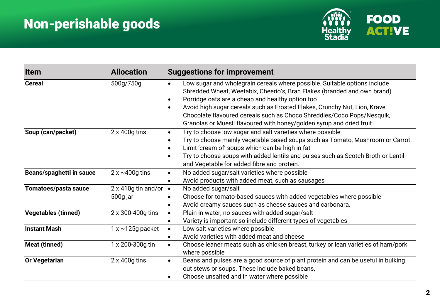

| <b>Item</b>                     | <b>Allocation</b>                                 | <b>Suggestions for improvement</b>                                                                                                                                                                                                                                                                                                                                                                                                                                   |  |
|---------------------------------|---------------------------------------------------|----------------------------------------------------------------------------------------------------------------------------------------------------------------------------------------------------------------------------------------------------------------------------------------------------------------------------------------------------------------------------------------------------------------------------------------------------------------------|--|
| <b>Cereal</b>                   | 500g/750g                                         | Low sugar and wholegrain cereals where possible. Suitable options include<br>$\bullet$<br>Shredded Wheat, Weetabix, Cheerio's, Bran Flakes (branded and own brand)<br>Porridge oats are a cheap and healthy option too<br>Avoid high sugar cereals such as Frosted Flakes, Crunchy Nut, Lion, Krave,<br>$\bullet$<br>Chocolate flavoured cereals such as Choco Shreddies/Coco Pops/Nesquik,<br>Granolas or Muesli flavoured with honey/golden syrup and dried fruit. |  |
| Soup (can/packet)               | $2 \times 400$ g tins                             | Try to choose low sugar and salt varieties where possible<br>$\bullet$<br>Try to choose mainly vegetable based soups such as Tomato, Mushroom or Carrot.<br>Limit 'cream of' soups which can be high in fat<br>Try to choose soups with added lentils and pulses such as Scotch Broth or Lentil<br>and Vegetable for added fibre and protein.                                                                                                                        |  |
| <b>Beans/spaghetti in sauce</b> | $2x \sim 400g$ tins                               | No added sugar/salt varieties where possible<br>$\bullet$<br>Avoid products with added meat, such as sausages                                                                                                                                                                                                                                                                                                                                                        |  |
| <b>Tomatoes/pasta sauce</b>     | $2 \times 410$ g tin and/or $\bullet$<br>500g jar | No added sugar/salt<br>Choose for tomato-based sauces with added vegetables where possible<br>Avoid creamy sauces such as cheese sauces and carbonara.                                                                                                                                                                                                                                                                                                               |  |
| <b>Vegetables (tinned)</b>      | 2 x 300-400g tins                                 | Plain in water, no sauces with added sugar/salt<br>$\bullet$<br>Variety is important so include different types of vegetables<br>$\bullet$                                                                                                                                                                                                                                                                                                                           |  |
| <b>Instant Mash</b>             | $\overline{1}x$ ~125g packet                      | Low salt varieties where possible<br>$\bullet$<br>Avoid varieties with added meat and cheese                                                                                                                                                                                                                                                                                                                                                                         |  |
| Meat (tinned)                   | 1 x 200-300g tin                                  | Choose leaner meats such as chicken breast, turkey or lean varieties of ham/pork<br>$\bullet$<br>where possible                                                                                                                                                                                                                                                                                                                                                      |  |
| Or Vegetarian                   | $2 \times 400$ g tins                             | Beans and pulses are a good source of plant protein and can be useful in bulking<br>out stews or soups. These include baked beans,<br>Choose unsalted and in water where possible                                                                                                                                                                                                                                                                                    |  |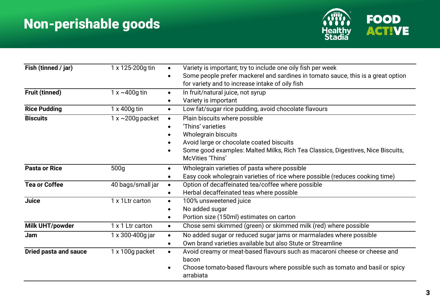

| Fish (tinned / jar)          | 1 x 125-200g tin        | Variety is important; try to include one oily fish per week<br>Some people prefer mackerel and sardines in tomato sauce, this is a great option |
|------------------------------|-------------------------|-------------------------------------------------------------------------------------------------------------------------------------------------|
|                              |                         | for variety and to increase intake of oily fish                                                                                                 |
| <b>Fruit (tinned)</b>        | $1 x \sim 400$ g tin    | In fruit/natural juice, not syrup<br>$\bullet$                                                                                                  |
|                              |                         | Variety is important                                                                                                                            |
| <b>Rice Pudding</b>          | 1 x 400g tin            | Low fat/sugar rice pudding, avoid chocolate flavours<br>$\bullet$                                                                               |
| <b>Biscuits</b>              | $1 x \sim 200$ g packet | Plain biscuits where possible<br>$\bullet$                                                                                                      |
|                              |                         | 'Thins' varieties                                                                                                                               |
|                              |                         | Wholegrain biscuits                                                                                                                             |
|                              |                         | Avoid large or chocolate coated biscuits                                                                                                        |
|                              |                         | Some good examples: Malted Milks, Rich Tea Classics, Digestives, Nice Biscuits,                                                                 |
|                              |                         | McVities 'Thins'                                                                                                                                |
| <b>Pasta or Rice</b>         | 500 <sub>g</sub>        | Wholegrain varieties of pasta where possible<br>$\bullet$                                                                                       |
|                              |                         | Easy cook wholegrain varieties of rice where possible (reduces cooking time)                                                                    |
| <b>Tea or Coffee</b>         | 40 bags/small jar       | Option of decaffeinated tea/coffee where possible<br>$\bullet$                                                                                  |
|                              |                         | Herbal decaffeinated teas where possible                                                                                                        |
| <b>Juice</b>                 | 1 x 1Ltr carton         | 100% unsweetened juice<br>$\bullet$                                                                                                             |
|                              |                         | No added sugar                                                                                                                                  |
|                              |                         | Portion size (150ml) estimates on carton                                                                                                        |
| <b>Milk UHT/powder</b>       | 1 x 1 Ltr carton        | Chose semi skimmed (green) or skimmed milk (red) where possible<br>$\bullet$                                                                    |
| Jam                          | 1 x 300-400g jar        | No added sugar or reduced sugar jams or marmalades where possible<br>$\bullet$                                                                  |
|                              |                         | Own brand varieties available but also Stute or Streamline<br>$\bullet$                                                                         |
| <b>Dried pasta and sauce</b> | 1 x 100g packet         | Avoid creamy or meat-based flavours such as macaroni cheese or cheese and<br>$\bullet$                                                          |
|                              |                         | bacon                                                                                                                                           |
|                              |                         | Choose tomato-based flavours where possible such as tomato and basil or spicy<br>arrabiata                                                      |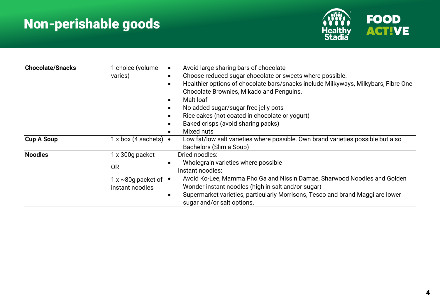# Non-perishable goods



| <b>Chocolate/Snacks</b> | 1 choice (volume<br>varies)                                                                 | Avoid large sharing bars of chocolate<br>Choose reduced sugar chocolate or sweets where possible.<br>Healthier options of chocolate bars/snacks include Milkyways, Milkybars, Fibre One<br>Chocolate Brownies, Mikado and Penguins.<br>Malt loaf<br>No added sugar/sugar free jelly pots<br>Rice cakes (not coated in chocolate or yogurt)<br>Baked crisps (avoid sharing packs) |
|-------------------------|---------------------------------------------------------------------------------------------|----------------------------------------------------------------------------------------------------------------------------------------------------------------------------------------------------------------------------------------------------------------------------------------------------------------------------------------------------------------------------------|
| <b>Cup A Soup</b>       | 1 x box (4 sachets) $\bullet$                                                               | Mixed nuts<br>Low fat/low salt varieties where possible. Own brand varieties possible but also<br>Bachelors (Slim a Soup)                                                                                                                                                                                                                                                        |
| <b>Noodles</b>          | 1 x 300g packet<br>$\bullet$<br>0R<br>1 x $\sim$ 80g packet of $\bullet$<br>instant noodles | Dried noodles:<br>Wholegrain varieties where possible<br>Instant noodles:<br>Avoid Ko-Lee, Mamma Pho Ga and Nissin Damae, Sharwood Noodles and Golden<br>Wonder instant noodles (high in salt and/or sugar)<br>Supermarket varieties, particularly Morrisons, Tesco and brand Maggi are lower                                                                                    |
|                         |                                                                                             | sugar and/or salt options.                                                                                                                                                                                                                                                                                                                                                       |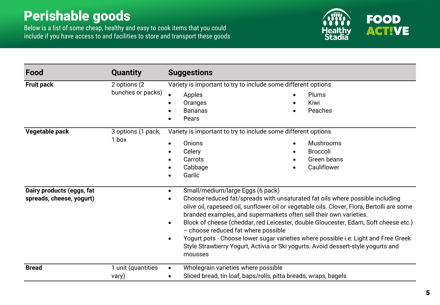# Perishable goods

Below is a list of some cheap, healthy and easy to cook items that you could include if you have access to and facilities to store and transport these goods



| Food                                                  | <b>Quantity</b>                    | <b>Suggestions</b>                                                                                                                                                                                                                                                                                                                                                                                                                                                                                                                                                                                                     |                                                                                |
|-------------------------------------------------------|------------------------------------|------------------------------------------------------------------------------------------------------------------------------------------------------------------------------------------------------------------------------------------------------------------------------------------------------------------------------------------------------------------------------------------------------------------------------------------------------------------------------------------------------------------------------------------------------------------------------------------------------------------------|--------------------------------------------------------------------------------|
| <b>Fruit pack</b>                                     | 2 options (2)<br>bunches or packs) | Variety is important to try to include some different options<br>Apples<br>Oranges<br><b>Bananas</b><br>Pears                                                                                                                                                                                                                                                                                                                                                                                                                                                                                                          | Plums<br>Kiwi<br>Peaches                                                       |
| Vegetable pack                                        | 3 options (1 pack,<br>1 box        | Variety is important to try to include some different options<br>Onions<br>Celery<br>Carrots<br>Cabbage<br>Garlic                                                                                                                                                                                                                                                                                                                                                                                                                                                                                                      | <b>Mushrooms</b><br>$\bullet$<br><b>Broccoli</b><br>Green beans<br>Cauliflower |
| Dairy products (eggs, fat<br>spreads, cheese, yogurt) |                                    | Small/medium/large Eggs (6 pack)<br>Choose reduced fat/spreads with unsaturated fat oils where possible including<br>olive oil, rapeseed oil, sunflower oil or vegetable oils. Clover, Flora, Bertolli are some<br>branded examples, and supermarkets often sell their own varieties.<br>Block of cheese (cheddar, red Leicester, double Gloucester, Edam, Soft cheese etc.)<br>$\bullet$<br>- choose reduced fat where possible<br>Yogurt pots - Choose lower sugar varieties where possible i.e: Light and Free Greek<br>Style Strawberry Yogurt, Activia or Ski yogurts. Avoid dessert-style yogurts and<br>mousses |                                                                                |
| <b>Bread</b>                                          | 1 unit (quantities<br>vary)        | Wholegrain varieties where possible<br>Sliced bread, tin loaf, baps/rolls, pitta breads, wraps, bagels                                                                                                                                                                                                                                                                                                                                                                                                                                                                                                                 |                                                                                |